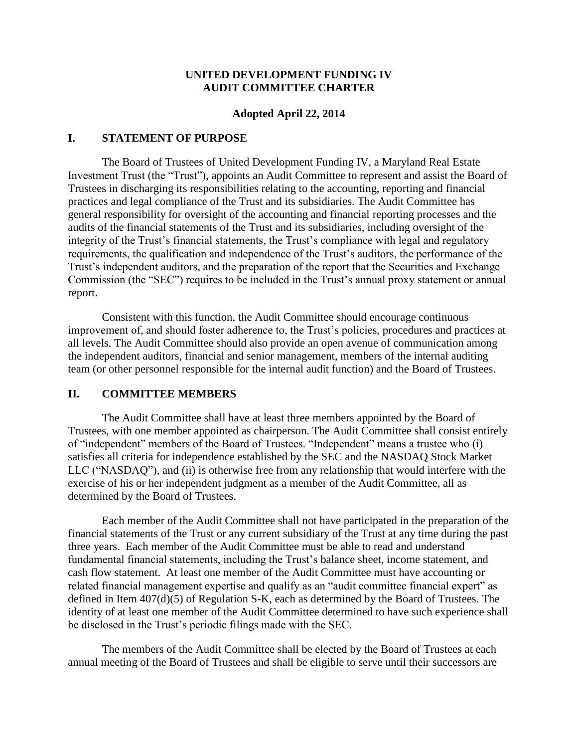### **UNITED DEVELOPMENT FUNDING IV AUDIT COMMITTEE CHARTER**

#### **Adopted April 22, 2014**

#### **I. STATEMENT OF PURPOSE**

The Board of Trustees of United Development Funding IV, a Maryland Real Estate Investment Trust (the "Trust"), appoints an Audit Committee to represent and assist the Board of Trustees in discharging its responsibilities relating to the accounting, reporting and financial practices and legal compliance of the Trust and its subsidiaries. The Audit Committee has general responsibility for oversight of the accounting and financial reporting processes and the audits of the financial statements of the Trust and its subsidiaries, including oversight of the integrity of the Trust's financial statements, the Trust's compliance with legal and regulatory requirements, the qualification and independence of the Trust's auditors, the performance of the Trust's independent auditors, and the preparation of the report that the Securities and Exchange Commission (the "SEC") requires to be included in the Trust's annual proxy statement or annual report.

Consistent with this function, the Audit Committee should encourage continuous improvement of, and should foster adherence to, the Trust's policies, procedures and practices at all levels. The Audit Committee should also provide an open avenue of communication among the independent auditors, financial and senior management, members of the internal auditing team (or other personnel responsible for the internal audit function) and the Board of Trustees.

#### **II. COMMITTEE MEMBERS**

The Audit Committee shall have at least three members appointed by the Board of Trustees, with one member appointed as chairperson. The Audit Committee shall consist entirely of "independent" members of the Board of Trustees. "Independent" means a trustee who (i) satisfies all criteria for independence established by the SEC and the NASDAQ Stock Market LLC ("NASDAQ"), and (ii) is otherwise free from any relationship that would interfere with the exercise of his or her independent judgment as a member of the Audit Committee, all as determined by the Board of Trustees.

Each member of the Audit Committee shall not have participated in the preparation of the financial statements of the Trust or any current subsidiary of the Trust at any time during the past three years. Each member of the Audit Committee must be able to read and understand fundamental financial statements, including the Trust's balance sheet, income statement, and cash flow statement. At least one member of the Audit Committee must have accounting or related financial management expertise and qualify as an "audit committee financial expert" as defined in Item 407(d)(5) of Regulation S-K, each as determined by the Board of Trustees. The identity of at least one member of the Audit Committee determined to have such experience shall be disclosed in the Trust's periodic filings made with the SEC.

The members of the Audit Committee shall be elected by the Board of Trustees at each annual meeting of the Board of Trustees and shall be eligible to serve until their successors are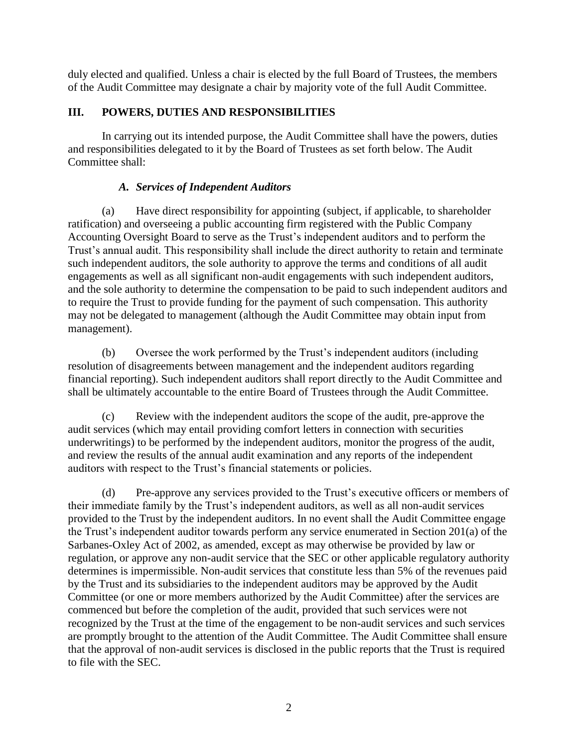duly elected and qualified. Unless a chair is elected by the full Board of Trustees, the members of the Audit Committee may designate a chair by majority vote of the full Audit Committee.

# **III. POWERS, DUTIES AND RESPONSIBILITIES**

In carrying out its intended purpose, the Audit Committee shall have the powers, duties and responsibilities delegated to it by the Board of Trustees as set forth below. The Audit Committee shall:

## *A. Services of Independent Auditors*

(a) Have direct responsibility for appointing (subject, if applicable, to shareholder ratification) and overseeing a public accounting firm registered with the Public Company Accounting Oversight Board to serve as the Trust's independent auditors and to perform the Trust's annual audit. This responsibility shall include the direct authority to retain and terminate such independent auditors, the sole authority to approve the terms and conditions of all audit engagements as well as all significant non-audit engagements with such independent auditors, and the sole authority to determine the compensation to be paid to such independent auditors and to require the Trust to provide funding for the payment of such compensation. This authority may not be delegated to management (although the Audit Committee may obtain input from management).

(b) Oversee the work performed by the Trust's independent auditors (including resolution of disagreements between management and the independent auditors regarding financial reporting). Such independent auditors shall report directly to the Audit Committee and shall be ultimately accountable to the entire Board of Trustees through the Audit Committee.

(c) Review with the independent auditors the scope of the audit, pre-approve the audit services (which may entail providing comfort letters in connection with securities underwritings) to be performed by the independent auditors, monitor the progress of the audit, and review the results of the annual audit examination and any reports of the independent auditors with respect to the Trust's financial statements or policies.

(d) Pre-approve any services provided to the Trust's executive officers or members of their immediate family by the Trust's independent auditors, as well as all non-audit services provided to the Trust by the independent auditors. In no event shall the Audit Committee engage the Trust's independent auditor towards perform any service enumerated in Section 201(a) of the Sarbanes-Oxley Act of 2002, as amended, except as may otherwise be provided by law or regulation, or approve any non-audit service that the SEC or other applicable regulatory authority determines is impermissible. Non-audit services that constitute less than 5% of the revenues paid by the Trust and its subsidiaries to the independent auditors may be approved by the Audit Committee (or one or more members authorized by the Audit Committee) after the services are commenced but before the completion of the audit, provided that such services were not recognized by the Trust at the time of the engagement to be non-audit services and such services are promptly brought to the attention of the Audit Committee. The Audit Committee shall ensure that the approval of non-audit services is disclosed in the public reports that the Trust is required to file with the SEC.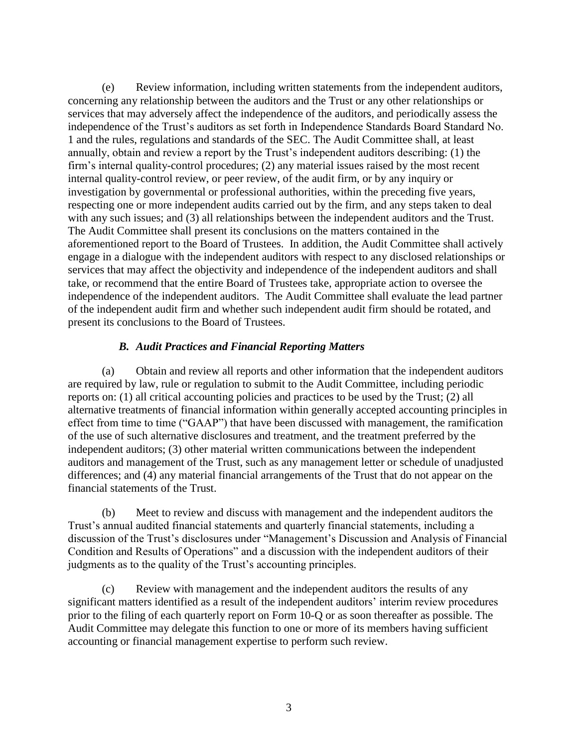(e) Review information, including written statements from the independent auditors, concerning any relationship between the auditors and the Trust or any other relationships or services that may adversely affect the independence of the auditors, and periodically assess the independence of the Trust's auditors as set forth in Independence Standards Board Standard No. 1 and the rules, regulations and standards of the SEC. The Audit Committee shall, at least annually, obtain and review a report by the Trust's independent auditors describing: (1) the firm's internal quality-control procedures; (2) any material issues raised by the most recent internal quality-control review, or peer review, of the audit firm, or by any inquiry or investigation by governmental or professional authorities, within the preceding five years, respecting one or more independent audits carried out by the firm, and any steps taken to deal with any such issues; and (3) all relationships between the independent auditors and the Trust. The Audit Committee shall present its conclusions on the matters contained in the aforementioned report to the Board of Trustees. In addition, the Audit Committee shall actively engage in a dialogue with the independent auditors with respect to any disclosed relationships or services that may affect the objectivity and independence of the independent auditors and shall take, or recommend that the entire Board of Trustees take, appropriate action to oversee the independence of the independent auditors. The Audit Committee shall evaluate the lead partner of the independent audit firm and whether such independent audit firm should be rotated, and present its conclusions to the Board of Trustees.

#### *B. Audit Practices and Financial Reporting Matters*

(a) Obtain and review all reports and other information that the independent auditors are required by law, rule or regulation to submit to the Audit Committee, including periodic reports on: (1) all critical accounting policies and practices to be used by the Trust; (2) all alternative treatments of financial information within generally accepted accounting principles in effect from time to time ("GAAP") that have been discussed with management, the ramification of the use of such alternative disclosures and treatment, and the treatment preferred by the independent auditors; (3) other material written communications between the independent auditors and management of the Trust, such as any management letter or schedule of unadjusted differences; and (4) any material financial arrangements of the Trust that do not appear on the financial statements of the Trust.

(b) Meet to review and discuss with management and the independent auditors the Trust's annual audited financial statements and quarterly financial statements, including a discussion of the Trust's disclosures under "Management's Discussion and Analysis of Financial Condition and Results of Operations" and a discussion with the independent auditors of their judgments as to the quality of the Trust's accounting principles.

(c) Review with management and the independent auditors the results of any significant matters identified as a result of the independent auditors' interim review procedures prior to the filing of each quarterly report on Form 10-Q or as soon thereafter as possible. The Audit Committee may delegate this function to one or more of its members having sufficient accounting or financial management expertise to perform such review.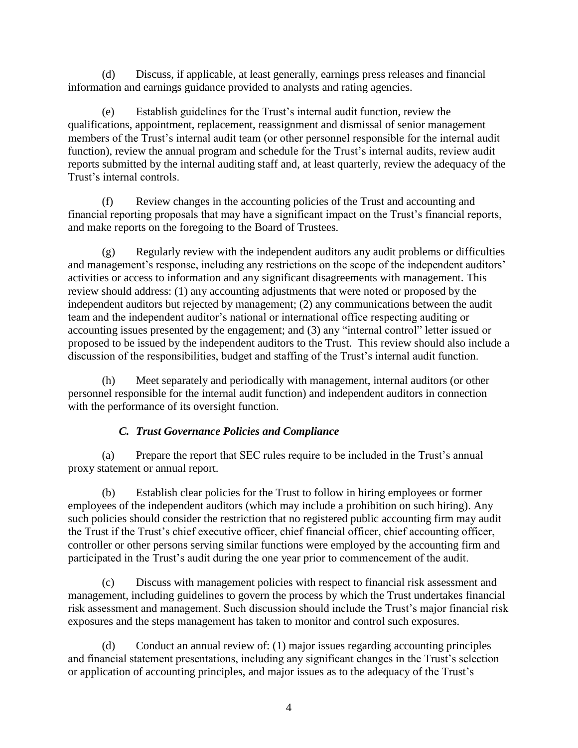(d) Discuss, if applicable, at least generally, earnings press releases and financial information and earnings guidance provided to analysts and rating agencies.

(e) Establish guidelines for the Trust's internal audit function, review the qualifications, appointment, replacement, reassignment and dismissal of senior management members of the Trust's internal audit team (or other personnel responsible for the internal audit function), review the annual program and schedule for the Trust's internal audits, review audit reports submitted by the internal auditing staff and, at least quarterly, review the adequacy of the Trust's internal controls.

(f) Review changes in the accounting policies of the Trust and accounting and financial reporting proposals that may have a significant impact on the Trust's financial reports, and make reports on the foregoing to the Board of Trustees.

(g) Regularly review with the independent auditors any audit problems or difficulties and management's response, including any restrictions on the scope of the independent auditors' activities or access to information and any significant disagreements with management. This review should address: (1) any accounting adjustments that were noted or proposed by the independent auditors but rejected by management; (2) any communications between the audit team and the independent auditor's national or international office respecting auditing or accounting issues presented by the engagement; and (3) any "internal control" letter issued or proposed to be issued by the independent auditors to the Trust. This review should also include a discussion of the responsibilities, budget and staffing of the Trust's internal audit function.

(h) Meet separately and periodically with management, internal auditors (or other personnel responsible for the internal audit function) and independent auditors in connection with the performance of its oversight function.

# *C. Trust Governance Policies and Compliance*

(a) Prepare the report that SEC rules require to be included in the Trust's annual proxy statement or annual report.

(b) Establish clear policies for the Trust to follow in hiring employees or former employees of the independent auditors (which may include a prohibition on such hiring). Any such policies should consider the restriction that no registered public accounting firm may audit the Trust if the Trust's chief executive officer, chief financial officer, chief accounting officer, controller or other persons serving similar functions were employed by the accounting firm and participated in the Trust's audit during the one year prior to commencement of the audit.

(c) Discuss with management policies with respect to financial risk assessment and management, including guidelines to govern the process by which the Trust undertakes financial risk assessment and management. Such discussion should include the Trust's major financial risk exposures and the steps management has taken to monitor and control such exposures.

(d) Conduct an annual review of: (1) major issues regarding accounting principles and financial statement presentations, including any significant changes in the Trust's selection or application of accounting principles, and major issues as to the adequacy of the Trust's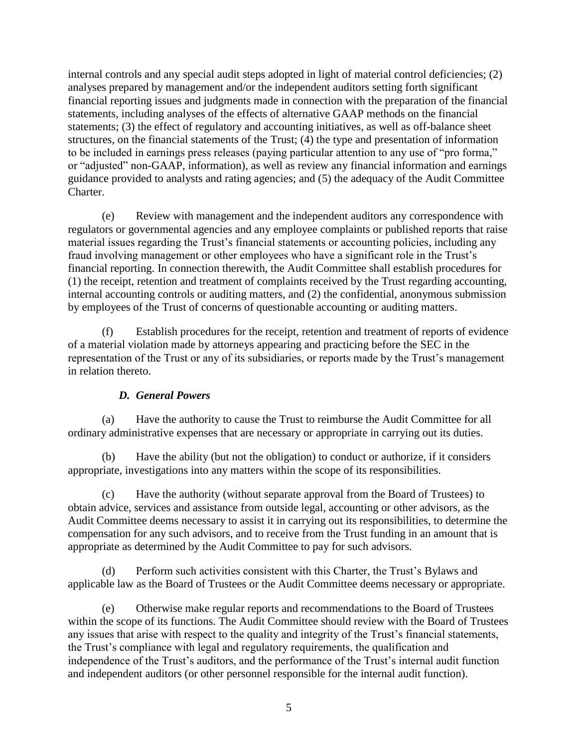internal controls and any special audit steps adopted in light of material control deficiencies; (2) analyses prepared by management and/or the independent auditors setting forth significant financial reporting issues and judgments made in connection with the preparation of the financial statements, including analyses of the effects of alternative GAAP methods on the financial statements; (3) the effect of regulatory and accounting initiatives, as well as off-balance sheet structures, on the financial statements of the Trust; (4) the type and presentation of information to be included in earnings press releases (paying particular attention to any use of "pro forma," or "adjusted" non-GAAP, information), as well as review any financial information and earnings guidance provided to analysts and rating agencies; and (5) the adequacy of the Audit Committee Charter.

(e) Review with management and the independent auditors any correspondence with regulators or governmental agencies and any employee complaints or published reports that raise material issues regarding the Trust's financial statements or accounting policies, including any fraud involving management or other employees who have a significant role in the Trust's financial reporting. In connection therewith, the Audit Committee shall establish procedures for (1) the receipt, retention and treatment of complaints received by the Trust regarding accounting, internal accounting controls or auditing matters, and (2) the confidential, anonymous submission by employees of the Trust of concerns of questionable accounting or auditing matters.

(f) Establish procedures for the receipt, retention and treatment of reports of evidence of a material violation made by attorneys appearing and practicing before the SEC in the representation of the Trust or any of its subsidiaries, or reports made by the Trust's management in relation thereto.

## *D. General Powers*

(a) Have the authority to cause the Trust to reimburse the Audit Committee for all ordinary administrative expenses that are necessary or appropriate in carrying out its duties.

(b) Have the ability (but not the obligation) to conduct or authorize, if it considers appropriate, investigations into any matters within the scope of its responsibilities.

(c) Have the authority (without separate approval from the Board of Trustees) to obtain advice, services and assistance from outside legal, accounting or other advisors, as the Audit Committee deems necessary to assist it in carrying out its responsibilities, to determine the compensation for any such advisors, and to receive from the Trust funding in an amount that is appropriate as determined by the Audit Committee to pay for such advisors.

(d) Perform such activities consistent with this Charter, the Trust's Bylaws and applicable law as the Board of Trustees or the Audit Committee deems necessary or appropriate.

(e) Otherwise make regular reports and recommendations to the Board of Trustees within the scope of its functions. The Audit Committee should review with the Board of Trustees any issues that arise with respect to the quality and integrity of the Trust's financial statements, the Trust's compliance with legal and regulatory requirements, the qualification and independence of the Trust's auditors, and the performance of the Trust's internal audit function and independent auditors (or other personnel responsible for the internal audit function).